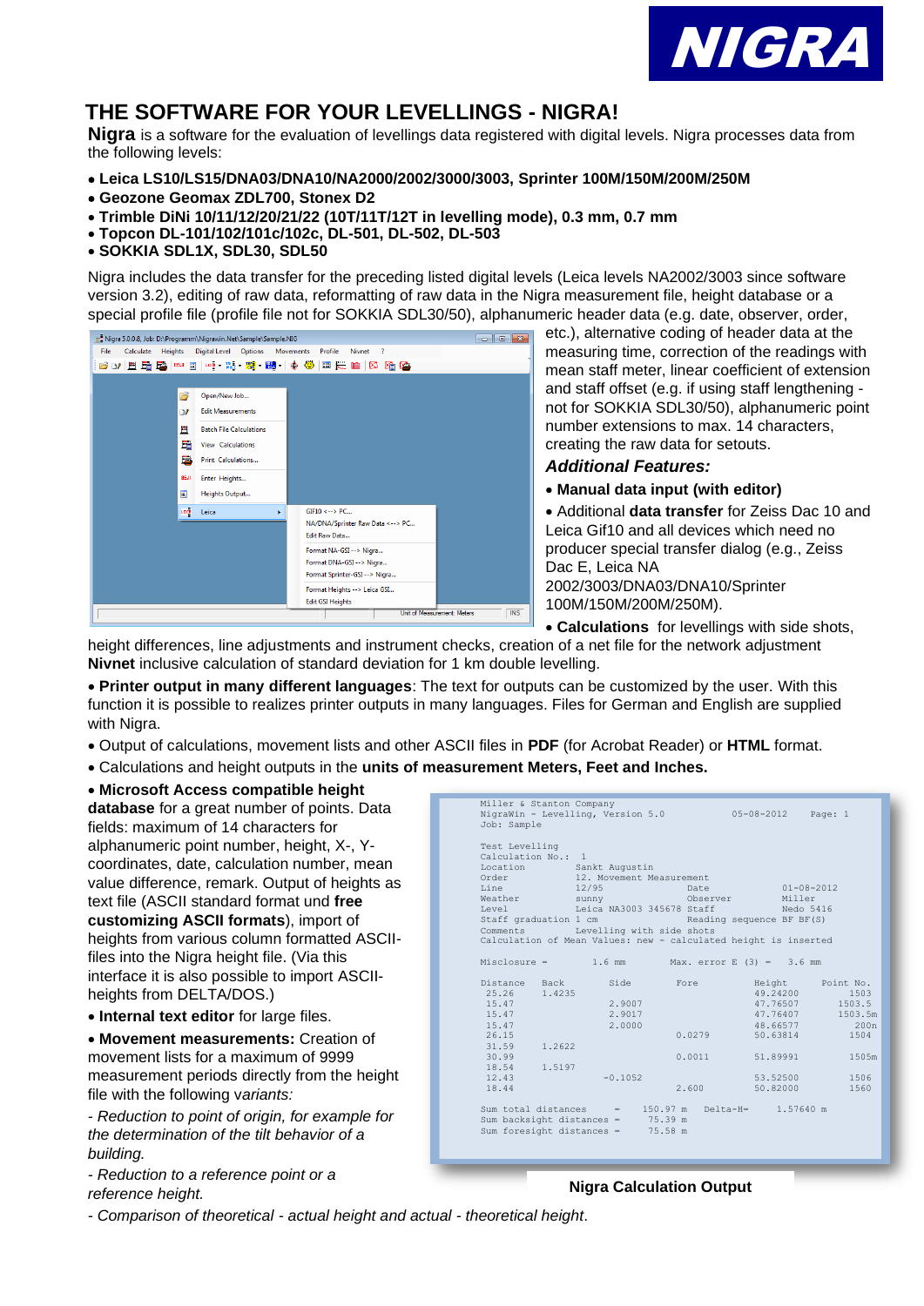

# **THE SOFTWARE FOR YOUR LEVELLINGS - NIGRA!**

**Nigra** is a software for the evaluation of levellings data registered with digital levels. Nigra processes data from the following levels:

- **Leica LS10/LS15/DNA03/DNA10/NA2000/2002/3000/3003, Sprinter 100M/150M/200M/250M**
- **Geozone Geomax ZDL700, Stonex D2**
- **Trimble DiNi 10/11/12/20/21/22 (10T/11T/12T in levelling mode), 0.3 mm, 0.7 mm**
- **Topcon DL-101/102/101c/102c, DL-501, DL-502, DL-503**
- **SOKKIA SDL1X, SDL30, SDL50**

Nigra includes the data transfer for the preceding listed digital levels (Leica levels NA2002/3003 since software version 3.2), editing of raw data, reformatting of raw data in the Nigra measurement file, height database or a special profile file (profile file not for SOKKIA SDL30/50), alphanumeric header data (e.g. date, observer, order,



etc.), alternative coding of header data at the measuring time, correction of the readings with mean staff meter, linear coefficient of extension and staff offset (e.g. if using staff lengthening not for SOKKIA SDL30/50), alphanumeric point number extensions to max. 14 characters, creating the raw data for setouts.

### *Additional Features:*

• **Manual data input (with editor)**

• Additional **data transfer** for Zeiss Dac 10 and Leica Gif10 and all devices which need no producer special transfer dialog (e.g., Zeiss Dac E, Leica NA

2002/3003/DNA03/DNA10/Sprinter 100M/150M/200M/250M).

• **Calculations** for levellings with side shots,

height differences, line adjustments and instrument checks, creation of a net file for the network adjustment **Nivnet** inclusive calculation of standard deviation for 1 km double levelling.

• **Printer output in many different languages**: The text for outputs can be customized by the user. With this function it is possible to realizes printer outputs in many languages. Files for German and English are supplied with Nigra.

- Output of calculations, movement lists and other ASCII files in **PDF** (for Acrobat Reader) or **HTML** format.
- Calculations and height outputs in the **units of measurement Meters, Feet and Inches.**

### • **Microsoft Access compatible height**

**database** for a great number of points. Data fields: maximum of 14 characters for alphanumeric point number, height, X-, Ycoordinates, date, calculation number, mean value difference, remark. Output of heights as text file (ASCII standard format und **free customizing ASCII formats**), import of heights from various column formatted ASCIIfiles into the Nigra height file. (Via this interface it is also possible to import ASCIIheights from DELTA/DOS.)

• **Internal text editor** for large files.

• **Movement measurements:** Creation of movement lists for a maximum of 9999 measurement periods directly from the height file with the following v*ariants:*

*- Reduction to point of origin, for example for the determination of the tilt behavior of a building.*

*- Reduction to a reference point or a reference height.*

| Test Levelling<br>Calculation No.: 1 |        |                                                                                                                            |                                                                 |                           |                                                                           |
|--------------------------------------|--------|----------------------------------------------------------------------------------------------------------------------------|-----------------------------------------------------------------|---------------------------|---------------------------------------------------------------------------|
|                                      |        | Location Sankt Augustin                                                                                                    |                                                                 |                           |                                                                           |
| Order                                |        | 12. Movement Measurement                                                                                                   |                                                                 |                           |                                                                           |
| Line                                 |        | 12/95<br>Date                                                                                                              |                                                                 | $01 - 08 - 2012$          |                                                                           |
| Weather                              |        | Observer<br>sunny and the state of the state of the state of the state of the state of the state of the state of the state |                                                                 | Miller                    |                                                                           |
| Level                                |        | Leica NA3003 345678 Staff                                                                                                  |                                                                 | Nedo 5416                 |                                                                           |
| Staff graduation 1 cm                |        |                                                                                                                            |                                                                 | Reading sequence BF BF(S) |                                                                           |
|                                      |        | Comments Levelling with side shots                                                                                         |                                                                 |                           |                                                                           |
|                                      |        |                                                                                                                            | Calculation of Mean Values: new - calculated height is inserted |                           |                                                                           |
|                                      |        |                                                                                                                            |                                                                 |                           |                                                                           |
|                                      |        |                                                                                                                            | Misclosure = $1.6$ mm $\mu$ Max. error E (3) = 3.6 mm           |                           |                                                                           |
|                                      |        |                                                                                                                            |                                                                 |                           |                                                                           |
|                                      |        |                                                                                                                            |                                                                 |                           |                                                                           |
| Distance Back                        |        | Side                                                                                                                       | Fore                                                            |                           |                                                                           |
| 25.26                                | 1.4235 |                                                                                                                            |                                                                 | 49.24200                  |                                                                           |
| 15.47                                |        | 2.9007                                                                                                                     |                                                                 | 47.76507                  |                                                                           |
| 15.47                                |        | 2.9017                                                                                                                     |                                                                 | 47.76407                  |                                                                           |
| 15.47                                |        | 2.0000                                                                                                                     |                                                                 | 48.66577                  |                                                                           |
| 26.15                                |        |                                                                                                                            | 0.0279                                                          | 50.63814                  |                                                                           |
| 31.59                                | 1.2622 |                                                                                                                            |                                                                 |                           | Height Point No.<br>1503<br>1503.5<br>1503.5m<br>200 <sub>n</sub><br>1504 |
| 30.99                                |        |                                                                                                                            | 0.0011                                                          | 51.89991                  | 1505m                                                                     |
| 18.54                                | 1.5197 |                                                                                                                            |                                                                 |                           |                                                                           |
| 12.43                                |        | $-0.1052$                                                                                                                  |                                                                 | 53.52500                  | 1506                                                                      |
| 18.44                                |        |                                                                                                                            | 2.600                                                           | 50.82000                  |                                                                           |
|                                      |        |                                                                                                                            | Sum total distances = $150.97$ m Delta-H= $1.57640$ m           |                           | 1560                                                                      |

### **Nigra Calculation Output**

*- Comparison of theoretical - actual height and actual - theoretical height*.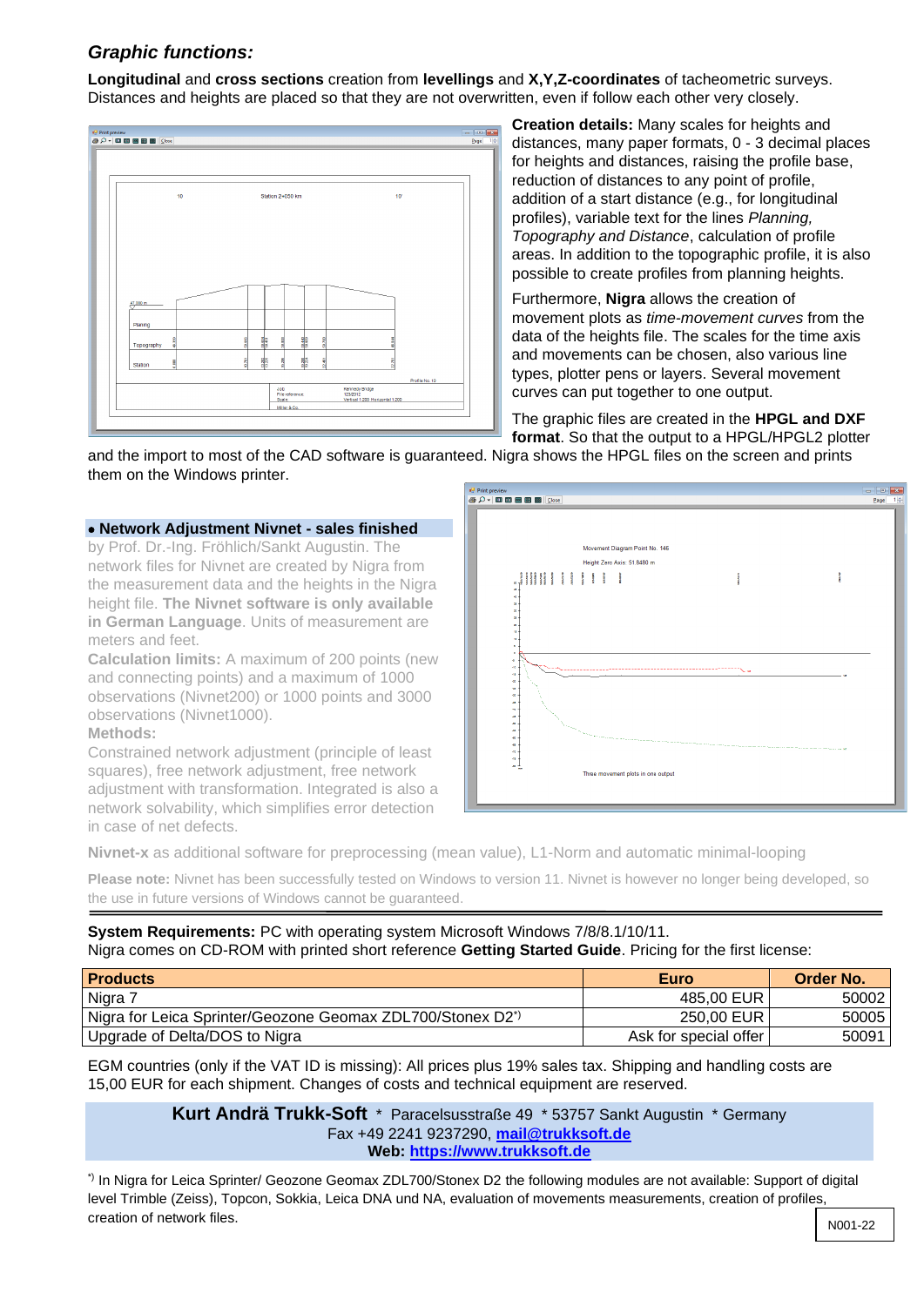## *Graphic functions:*

**Longitudinal** and **cross sections** creation from **levellings** and **X,Y,Z-coordinates** of tacheometric surveys. Distances and heights are placed so that they are not overwritten, even if follow each other very closely.



**Creation details:** Many scales for heights and distances, many paper formats, 0 - 3 decimal places for heights and distances, raising the profile base, reduction of distances to any point of profile, addition of a start distance (e.g., for longitudinal profiles), variable text for the lines *Planning, Topography and Distance*, calculation of profile areas. In addition to the topographic profile, it is also possible to create profiles from planning heights.

Furthermore, **Nigra** allows the creation of movement plots as *time-movement curves* from the data of the heights file. The scales for the time axis and movements can be chosen, also various line types, plotter pens or layers. Several movement curves can put together to one output.

The graphic files are created in the **HPGL and DXF format**. So that the output to a HPGL/HPGL2 plotter

and the import to most of the CAD software is guaranteed. Nigra shows the HPGL files on the screen and prints them on the Windows printer.

### • **Network Adjustment Nivnet - sales finished**

by Prof. Dr.-Ing. Fröhlich/Sankt Augustin. The network files for Nivnet are created by Nigra from the measurement data and the heights in the Nigra height file. **The Nivnet software is only available in German Language**. Units of measurement are meters and feet.

**Calculation limits:** A maximum of 200 points (new and connecting points) and a maximum of 1000 observations (Nivnet200) or 1000 points and 3000 observations (Nivnet1000).

### **Methods:**

Constrained network adjustment (principle of least squares), free network adjustment, free network adjustment with transformation. Integrated is also a network solvability, which simplifies error detection in case of net defects.



**Nivnet-x** as additional software for preprocessing (mean value), L1-Norm and automatic minimal-looping

**Please note:** Nivnet has been successfully tested on Windows to version 11. Nivnet is however no longer being developed, so the use in future versions of Windows cannot be guaranteed.

**System Requirements:** PC with operating system Microsoft Windows 7/8/8.1/10/11. Nigra comes on CD-ROM with printed short reference **Getting Started Guide**. Pricing for the first license:

| <b>Products</b>                                                        | Euro                  | <b>Order No.</b> |
|------------------------------------------------------------------------|-----------------------|------------------|
| Nigra 7                                                                | 485.00 EUR            | 50002            |
| Nigra for Leica Sprinter/Geozone Geomax ZDL700/Stonex D2 <sup>*)</sup> | 250,00 EUR            | 50005            |
| Upgrade of Delta/DOS to Nigra                                          | Ask for special offer | 50091            |

EGM countries (only if the VAT ID is missing): All prices plus 19% sales tax. Shipping and handling costs are 15,00 EUR for each shipment. Changes of costs and technical equipment are reserved.

> **Kurt Andrä Trukk-Soft** \* Paracelsusstraße 49 \* 53757 Sankt Augustin \* Germany Fax +49 2241 9237290, **[mail@trukksoft.de](mailto:mail@trukksoft.de) Web: [https://www.trukksoft.de](https://www.trukksoft.de/)**

\*) In Nigra for Leica Sprinter/ Geozone Geomax ZDL700/Stonex D2 the following modules are not available: Support of digital level Trimble (Zeiss), Topcon, Sokkia, Leica DNA und NA, evaluation of movements measurements, creation of profiles, creation of network files.  $\sqrt{N^{001-22}}$